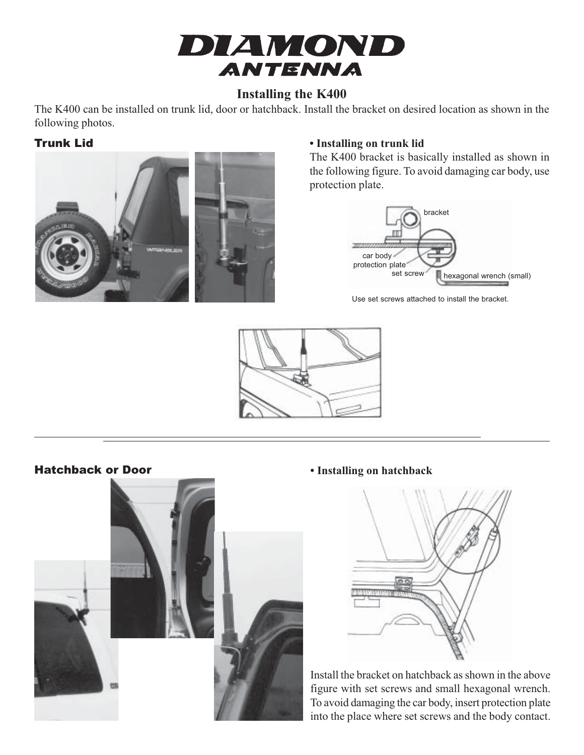

# **Installing the K400**

The K400 can be installed on trunk lid, door or hatchback. Install the bracket on desired location as shown in the following photos.



## Trunk Lid **• Installing on trunk lid**

The K400 bracket is basically installed as shown in the following figure. To avoid damaging car body, use protection plate.



Use set screws attached to install the bracket.





Hatchback or Door **• Installing on hatchback**



Install the bracket on hatchback as shown in the above figure with set screws and small hexagonal wrench. To avoid damaging the car body, insert protection plate into the place where set screws and the body contact.